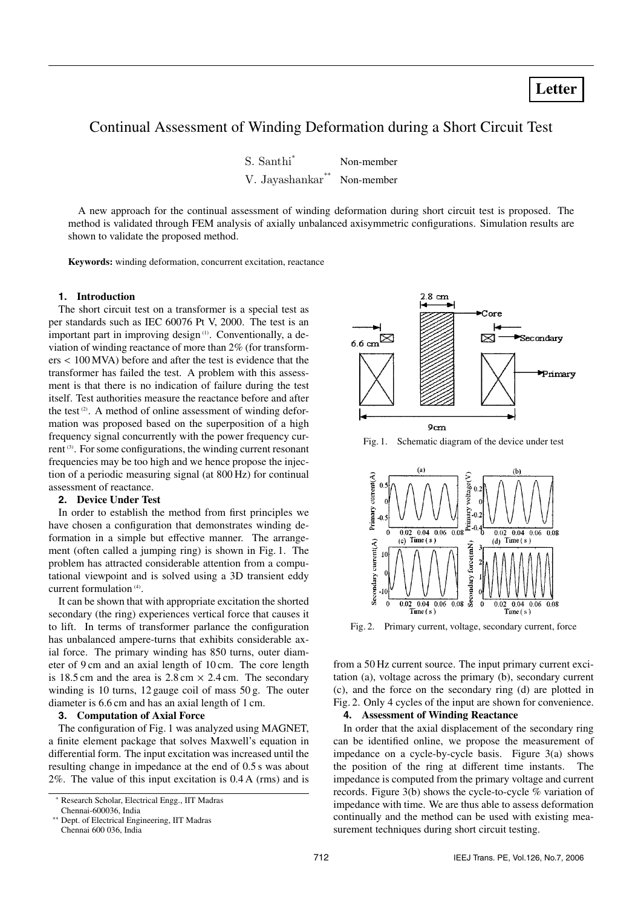# Continual Assessment of Winding Deformation during a Short Circuit Test

| S. Santhi <sup>*</sup> | Non-member |
|------------------------|------------|
| **<br>V. Jayashankar** | Non-member |

A new approach for the continual assessment of winding deformation during short circuit test is proposed. The method is validated through FEM analysis of axially unbalanced axisymmetric configurations. Simulation results are shown to validate the proposed method.

**Keywords:** winding deformation, concurrent excitation, reactance

# **1. Introduction**

The short circuit test on a transformer is a special test as per standards such as IEC 60076 Pt V, 2000. The test is an important part in improving design<sup>(1)</sup>. Conventionally, a deviation of winding reactance of more than 2% (for transformers < 100 MVA) before and after the test is evidence that the transformer has failed the test. A problem with this assessment is that there is no indication of failure during the test itself. Test authorities measure the reactance before and after the test<sup>(2)</sup>. A method of online assessment of winding deformation was proposed based on the superposition of a high frequency signal concurrently with the power frequency current <sup>(3)</sup>. For some configurations, the winding current resonant frequencies may be too high and we hence propose the injection of a periodic measuring signal (at 800 Hz) for continual assessment of reactance.

# **2. Device Under Test**

In order to establish the method from first principles we have chosen a configuration that demonstrates winding deformation in a simple but effective manner. The arrangement (often called a jumping ring) is shown in Fig. 1. The problem has attracted considerable attention from a computational viewpoint and is solved using a 3D transient eddy current formulation<sup>(4)</sup>.

It can be shown that with appropriate excitation the shorted secondary (the ring) experiences vertical force that causes it to lift. In terms of transformer parlance the configuration has unbalanced ampere-turns that exhibits considerable axial force. The primary winding has 850 turns, outer diameter of 9 cm and an axial length of 10 cm. The core length is 18.5 cm and the area is  $2.8 \text{ cm} \times 2.4 \text{ cm}$ . The secondary winding is 10 turns, 12 gauge coil of mass 50 g. The outer diameter is 6.6 cm and has an axial length of 1 cm.

### **3. Computation of Axial Force**

The configuration of Fig. 1 was analyzed using MAGNET, a finite element package that solves Maxwell's equation in differential form. The input excitation was increased until the resulting change in impedance at the end of 0.5 s was about 2%. The value of this input excitation is 0.4 A (rms) and is



Fig. 1. Schematic diagram of the device under test



Fig. 2. Primary current, voltage, secondary current, force

from a 50 Hz current source. The input primary current excitation (a), voltage across the primary (b), secondary current (c), and the force on the secondary ring (d) are plotted in Fig. 2. Only 4 cycles of the input are shown for convenience.

# **4. Assessment of Winding Reactance**

In order that the axial displacement of the secondary ring can be identified online, we propose the measurement of impedance on a cycle-by-cycle basis. Figure 3(a) shows the position of the ring at different time instants. The impedance is computed from the primary voltage and current records. Figure 3(b) shows the cycle-to-cycle % variation of impedance with time. We are thus able to assess deformation continually and the method can be used with existing measurement techniques during short circuit testing.

<sup>∗</sup> Research Scholar, Electrical Engg., IIT Madras Chennai-600036, India

<sup>∗∗</sup> Dept. of Electrical Engineering, IIT Madras Chennai 600 036, India